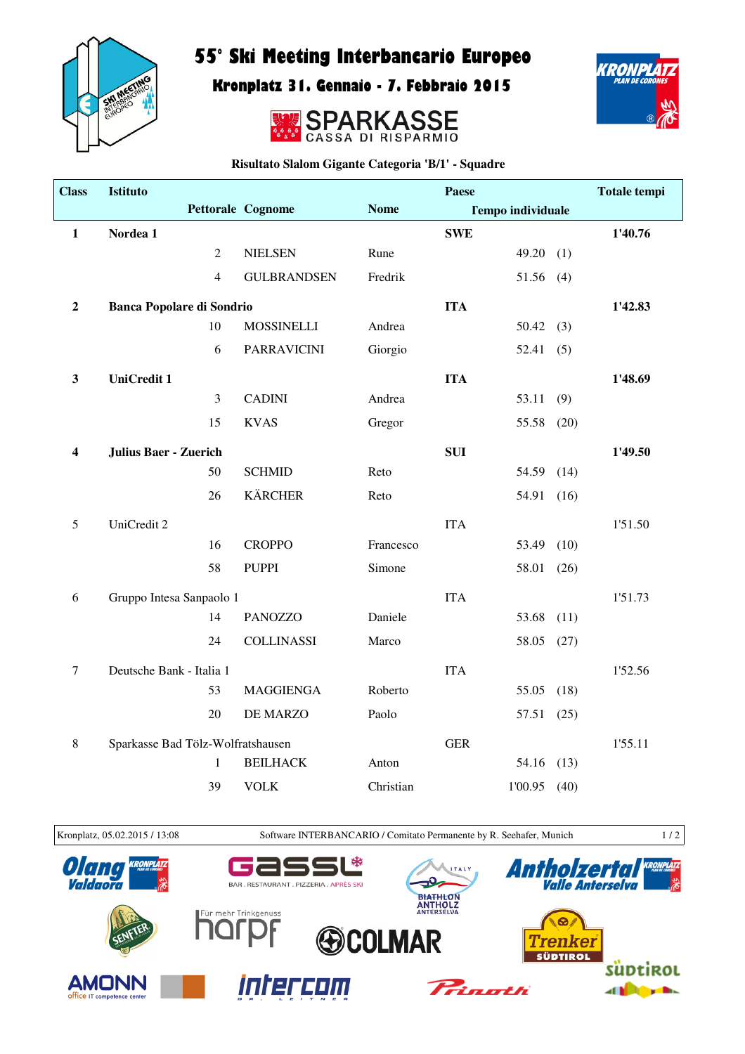

## 55° Ski Meeting Interbancario Europeo

Kronplatz 31. Gennaio - 7. Febbraio 2015





**Risultato Slalom Gigante Categoria 'B/1' - Squadre**

| <b>Class</b> | <b>Istituto</b>                  |                                   |                    |             | Paese      |                          |      | <b>Totale tempi</b> |
|--------------|----------------------------------|-----------------------------------|--------------------|-------------|------------|--------------------------|------|---------------------|
|              |                                  |                                   | Pettorale Cognome  | <b>Nome</b> |            | <b>Tempo individuale</b> |      |                     |
| $\mathbf{1}$ | Nordea 1                         |                                   |                    |             | <b>SWE</b> |                          |      | 1'40.76             |
|              |                                  | $\overline{2}$                    | <b>NIELSEN</b>     | Rune        |            | 49.20                    | (1)  |                     |
|              |                                  | 4                                 | <b>GULBRANDSEN</b> | Fredrik     |            | 51.56 (4)                |      |                     |
| $\mathbf 2$  | <b>Banca Popolare di Sondrio</b> |                                   |                    |             | <b>ITA</b> |                          |      | 1'42.83             |
|              |                                  | 10                                | <b>MOSSINELLI</b>  | Andrea      |            | 50.42(3)                 |      |                     |
|              |                                  | 6                                 | <b>PARRAVICINI</b> | Giorgio     |            | 52.41                    | (5)  |                     |
| $\mathbf{3}$ | <b>UniCredit 1</b>               |                                   |                    |             | <b>ITA</b> |                          |      | 1'48.69             |
|              |                                  | $\mathfrak{Z}$                    | <b>CADINI</b>      | Andrea      |            | 53.11                    | (9)  |                     |
|              |                                  | 15                                | <b>KVAS</b>        | Gregor      |            | 55.58                    | (20) |                     |
| 4            | <b>Julius Baer - Zuerich</b>     |                                   |                    |             | <b>SUI</b> |                          |      | 1'49.50             |
|              |                                  | 50                                | <b>SCHMID</b>      | Reto        |            | 54.59                    | (14) |                     |
|              |                                  | 26                                | <b>KÄRCHER</b>     | Reto        |            | 54.91                    | (16) |                     |
| 5            | UniCredit 2                      |                                   |                    |             | <b>ITA</b> |                          |      | 1'51.50             |
|              |                                  | 16                                | <b>CROPPO</b>      | Francesco   |            | 53.49                    | (10) |                     |
|              |                                  | 58                                | <b>PUPPI</b>       | Simone      |            | 58.01                    | (26) |                     |
| 6            |                                  | Gruppo Intesa Sanpaolo 1          |                    |             | <b>ITA</b> |                          |      | 1'51.73             |
|              |                                  | 14                                | <b>PANOZZO</b>     | Daniele     |            | 53.68                    | (11) |                     |
|              |                                  | 24                                | <b>COLLINASSI</b>  | Marco       |            | 58.05                    | (27) |                     |
| $\tau$       | Deutsche Bank - Italia 1         |                                   |                    |             | <b>ITA</b> |                          |      | 1'52.56             |
|              |                                  | 53                                | <b>MAGGIENGA</b>   | Roberto     |            | 55.05                    | (18) |                     |
|              |                                  | 20                                | DE MARZO           | Paolo       |            | 57.51                    | (25) |                     |
| 8            |                                  | Sparkasse Bad Tölz-Wolfratshausen |                    |             | <b>GER</b> |                          |      | 1'55.11             |
|              |                                  | $\mathbf{1}$                      | <b>BEILHACK</b>    | Anton       |            | 54.16                    | (13) |                     |
|              |                                  | 39                                | <b>VOLK</b>        | Christian   |            | 1'00.95                  | (40) |                     |





KRONPLAT